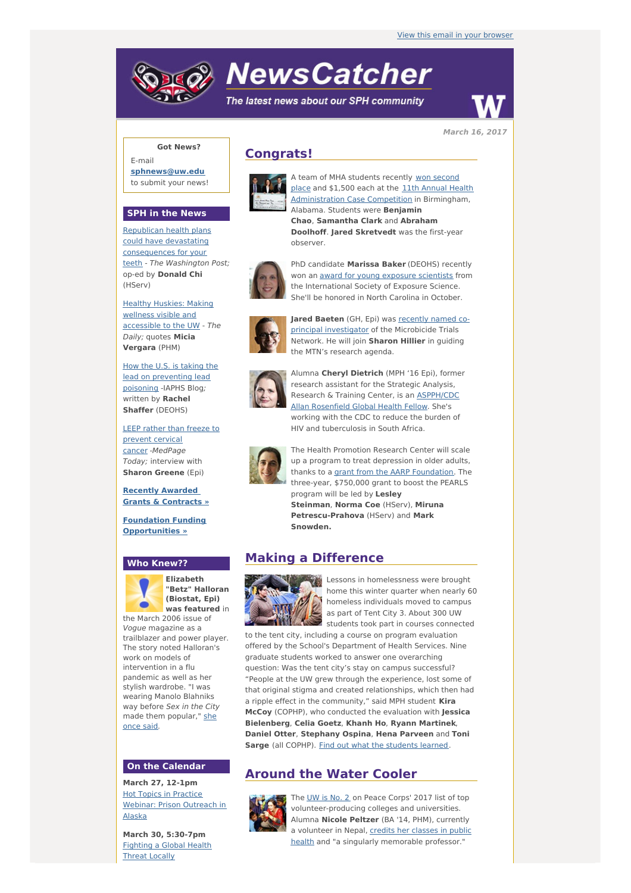# **NewsCatcher**

The latest news about our SPH community



**March 16, 2017**

## **Got News?**

E-mail **[sphnews@uw.edu](mailto:sphnews@uw.edu)** to submit your news!

#### **SPH in the News**

Republican health plans could have devastating [consequences](http://engage.washington.edu/site/R?i=DZ6Ls6UHx0ns35DPe-FC-w) for your teeth - The Washington Post; op-ed by **Donald Chi** (HServ)

Healthy Huskies: Making wellness visible and [accessible](http://engage.washington.edu/site/R?i=ZBvnBahoiX2Yu41ri2lQEA) to the UW - The Daily; quotes **Micia Vergara** (PHM)

How the U.S. is taking the lead on [preventing](http://engage.washington.edu/site/R?i=01ybr2-AekIu4TpHPtLP7A) lead poisoning -IAPHS Blog; written by **Rachel Shaffer** (DEOHS)

LEEP rather than freeze to prevent cervical cancer -[MedPage](http://engage.washington.edu/site/R?i=A-nmLnsJugSBzIZyICDOUA) Today; interview with **Sharon Greene** (Epi)

**Recently Awarded Grants & [Contracts](http://engage.washington.edu/site/R?i=zDTgdAweVZm-cSGZhBLitg) »**

**Foundation Funding [Opportunities](http://engage.washington.edu/site/R?i=RXR5WpYvtzOKuR1lZ2LDzg) »**

#### **Who Knew??**



**Elizabeth "Betz" Halloran (Biostat, Epi) was featured** in

the March 2006 issue of Vogue magazine as a trailblazer and power player. The story noted Halloran's work on models of intervention in a flu pandemic as well as her stylish wardrobe. "I was wearing Manolo Blahniks way before Sex in the City made them [popular,"](http://engage.washington.edu/site/R?i=K9FeoDNKKhFwsh3NHKdZkA) she once said.

#### **On the Calendar**

**March 27, 12-1pm** Hot Topics in Practice Webinar: Prison [Outreach](http://engage.washington.edu/site/R?i=eXtXEKvfC-ZZ88a3n4foAg) in Alaska

**March 30, 5:30-7pm** [Fighting](http://engage.washington.edu/site/R?i=FN-1NJ2DhnFh9tNO2MX3Pw) a Global Health Threat Locally

## **Congrats!**



A team of MHA [students](http://engage.washington.edu/site/R?i=THkNCNUT8wsscnbTOwrMFA) recently won second place and \$1,500 each at the 11th Annual Health [Administration](http://engage.washington.edu/site/R?i=jNXoykG0dJ2OaVShbCHPZw) Case Competition in Birmingham, Alabama. Students were **Benjamin Chao**, **Samantha Clark** and **Abraham Doolhoff**. **Jared Skretvedt** was the first-year observer.



PhD candidate **Marissa Baker** (DEOHS) recently won an award for young [exposure](http://engage.washington.edu/site/R?i=wpwJCYxlrgvzADvZJ6UEVg) scientists from the International Society of Exposure Science. She'll be honored in North Carolina in October.



**Jared Baeten** (GH, Epi) was recently named coprincipal [investigator](http://engage.washington.edu/site/R?i=6h1wDCnD8A7AJiOhNtUA0g) of the Microbicide Trials Network. He will join **Sharon Hillier** in guiding the MTN's research agenda.



Alumna **Cheryl Dietrich** (MPH '16 Epi), former research assistant for the Strategic Analysis, Research & Training Center, is an [ASPPH/CDC](http://engage.washington.edu/site/R?i=CRBaSw5VgkWD4TqRfjwM4g) Allan Rosenfield Global Health Fellow. She's working with the CDC to reduce the burden of HIV and tuberculosis in South Africa.



The Health Promotion Research Center will scale up a program to treat depression in older adults, thanks to a grant from the AARP [Foundation](http://engage.washington.edu/site/R?i=f2i12eZ-9O7ZvjPzpnOaYw). The three-year, \$750,000 grant to boost the PEARLS program will be led by **Lesley Steinman**, **Norma Coe** (HServ), **Miruna Petrescu-Prahova** (HServ) and **Mark Snowden.**

## **Making a Difference**



Lessons in homelessness were brought home this winter quarter when nearly 60 homeless individuals moved to campus as part of Tent City 3. About 300 UW students took part in courses connected

to the tent city, including a course on program evaluation offered by the School's Department of Health Services. Nine graduate students worked to answer one overarching question: Was the tent city's stay on campus successful? "People at the UW grew through the experience, lost some of that original stigma and created relationships, which then had a ripple effect in the community," said MPH student **Kira McCoy** (COPHP), who conducted the evaluation with **Jessica Bielenberg**, **Celia Goetz**, **Khanh Ho**, **Ryann Martinek**, **Daniel Otter**, **Stephany Ospina**, **Hena Parveen** and **Toni Sarge** (all COPHP). Find out what the [students](http://engage.washington.edu/site/R?i=QSfg7kizoc5z_VYetp80pg) learned.

# **Around the Water Cooler**



The [UW](http://engage.washington.edu/site/R?i=JY4i97jXz8W9JCKLBWFKlg) is No. 2 on Peace Corps' 2017 list of top volunteer-producing colleges and universities. Alumna **Nicole Peltzer** (BA '14, PHM), currently a volunteer in Nepal, credits her classes in public health and "a singularly [memorable](http://engage.washington.edu/site/R?i=Ix_jOxyxK4U395MQixjUyw) professor."